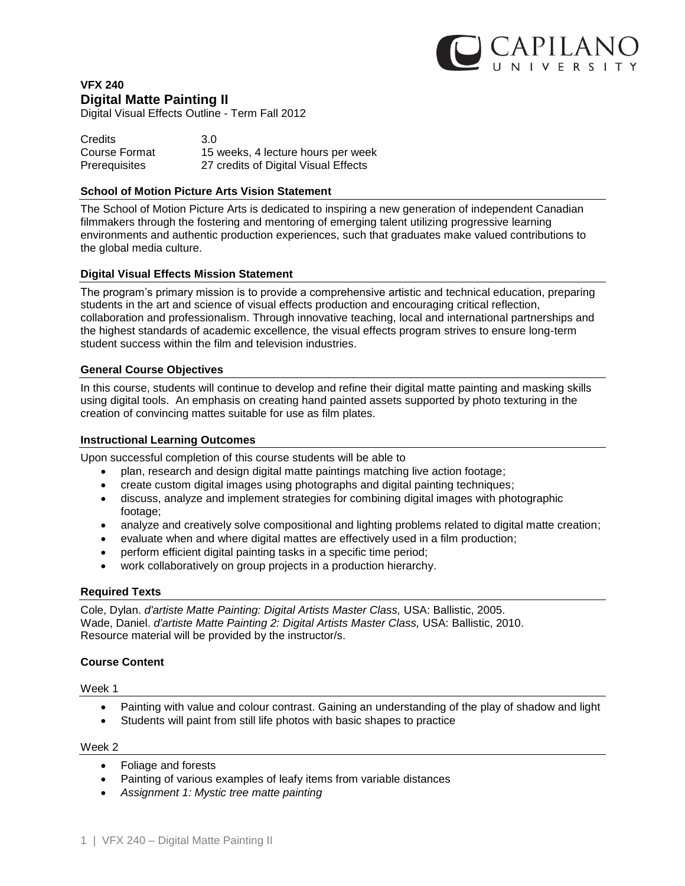

# **VFX 240 Digital Matte Painting II**

Digital Visual Effects Outline - Term Fall 2012

| <b>Credits</b> | 3.0                                  |
|----------------|--------------------------------------|
| Course Format  | 15 weeks, 4 lecture hours per week   |
| Prerequisites  | 27 credits of Digital Visual Effects |

### **School of Motion Picture Arts Vision Statement**

The School of Motion Picture Arts is dedicated to inspiring a new generation of independent Canadian filmmakers through the fostering and mentoring of emerging talent utilizing progressive learning environments and authentic production experiences, such that graduates make valued contributions to the global media culture.

# **Digital Visual Effects Mission Statement**

The program's primary mission is to provide a comprehensive artistic and technical education, preparing students in the art and science of visual effects production and encouraging critical reflection, collaboration and professionalism. Through innovative teaching, local and international partnerships and the highest standards of academic excellence, the visual effects program strives to ensure long-term student success within the film and television industries.

### **General Course Objectives**

In this course, students will continue to develop and refine their digital matte painting and masking skills using digital tools. An emphasis on creating hand painted assets supported by photo texturing in the creation of convincing mattes suitable for use as film plates.

### **Instructional Learning Outcomes**

Upon successful completion of this course students will be able to

- plan, research and design digital matte paintings matching live action footage;
- create custom digital images using photographs and digital painting techniques;
- discuss, analyze and implement strategies for combining digital images with photographic footage;
- analyze and creatively solve compositional and lighting problems related to digital matte creation;
- evaluate when and where digital mattes are effectively used in a film production;
- perform efficient digital painting tasks in a specific time period;
- work collaboratively on group projects in a production hierarchy.

#### **Required Texts**

Cole, Dylan. *d'artiste Matte Painting: Digital Artists Master Class,* USA: Ballistic, 2005. Wade, Daniel. *d'artiste Matte Painting 2: Digital Artists Master Class,* USA: Ballistic, 2010. Resource material will be provided by the instructor/s.

# **Course Content**

Week 1

- Painting with value and colour contrast. Gaining an understanding of the play of shadow and light
- Students will paint from still life photos with basic shapes to practice

Week 2

- Foliage and forests
- Painting of various examples of leafy items from variable distances
- *Assignment 1: Mystic tree matte painting*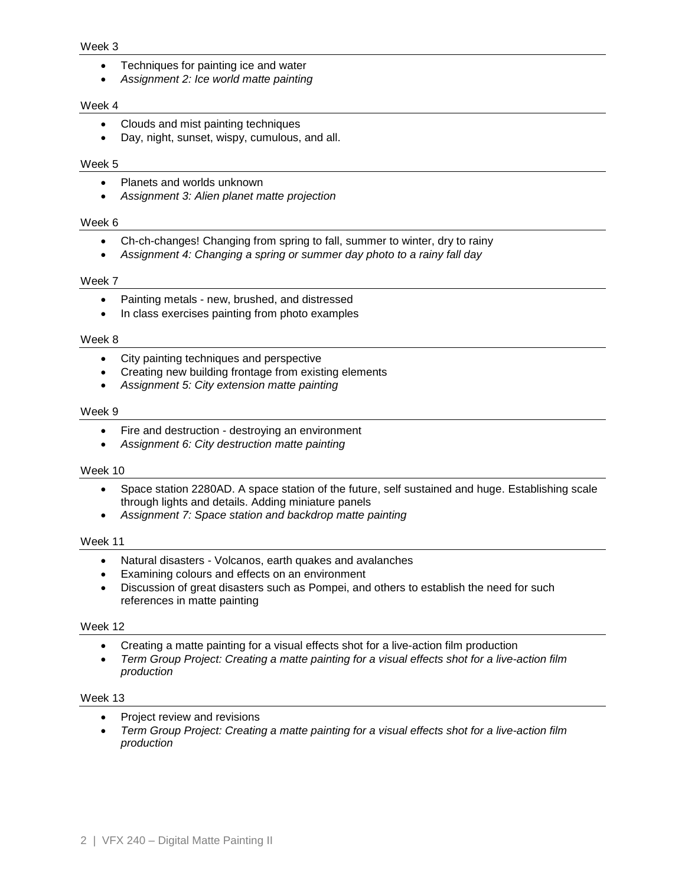#### Week 3

- Techniques for painting ice and water
- *Assignment 2: Ice world matte painting*

### Week 4

- Clouds and mist painting techniques
- Day, night, sunset, wispy, cumulous, and all.

### Week 5

- Planets and worlds unknown
- *Assignment 3: Alien planet matte projection*

### Week 6

- Ch-ch-changes! Changing from spring to fall, summer to winter, dry to rainy
- *Assignment 4: Changing a spring or summer day photo to a rainy fall day*

# Week 7

- Painting metals new, brushed, and distressed
- In class exercises painting from photo examples

### Week 8

- City painting techniques and perspective
- Creating new building frontage from existing elements
- *Assignment 5: City extension matte painting*

### Week 9

- Fire and destruction destroying an environment
- *Assignment 6: City destruction matte painting*

# Week 10

- Space station 2280AD. A space station of the future, self sustained and huge. Establishing scale through lights and details. Adding miniature panels
- *Assignment 7: Space station and backdrop matte painting*

# Week 11

- Natural disasters Volcanos, earth quakes and avalanches
- Examining colours and effects on an environment
- Discussion of great disasters such as Pompei, and others to establish the need for such references in matte painting

# Week 12

- Creating a matte painting for a visual effects shot for a live-action film production
- *Term Group Project: Creating a matte painting for a visual effects shot for a live-action film production*

#### Week 13

- Project review and revisions
- *Term Group Project: Creating a matte painting for a visual effects shot for a live-action film production*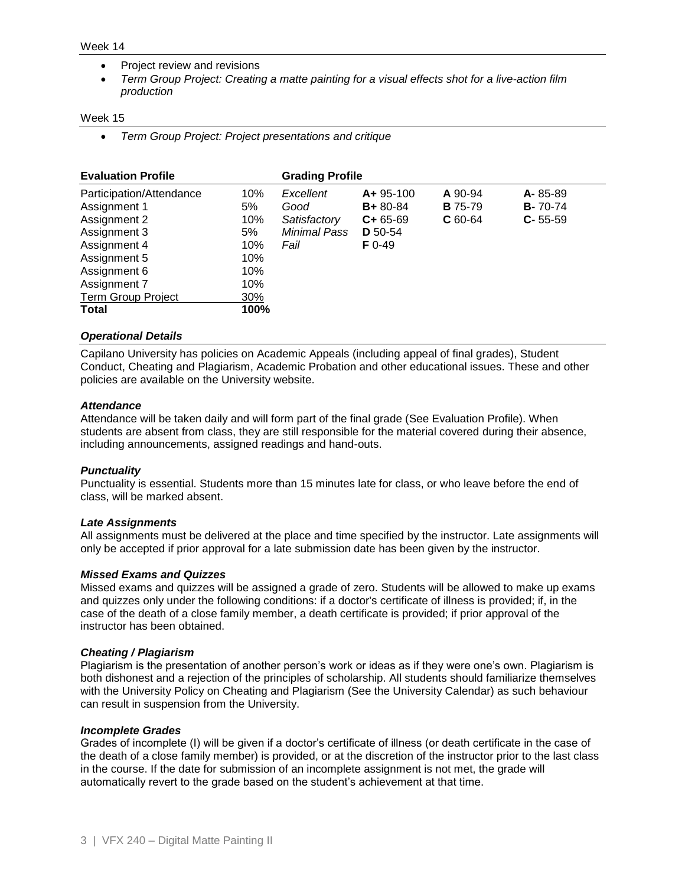#### Week 14

- Project review and revisions
- *Term Group Project: Creating a matte painting for a visual effects shot for a live-action film production*

#### Week 15

*Term Group Project: Project presentations and critique*

| <b>Evaluation Profile</b> |      | <b>Grading Profile</b> |                |                |                 |
|---------------------------|------|------------------------|----------------|----------------|-----------------|
| Participation/Attendance  | 10%  | Excellent              | $A + 95 - 100$ | A 90-94        | $A - 85 - 89$   |
| Assignment 1              | 5%   | Good                   | $B + 80 - 84$  | <b>B</b> 75-79 | <b>B-</b> 70-74 |
| Assignment 2              | 10%  | Satisfactory           | $C + 65 - 69$  | $C$ 60-64      | $C - 55 - 59$   |
| Assignment 3              | 5%   | Minimal Pass           | D 50-54        |                |                 |
| Assignment 4              | 10%  | Fail                   | $F_{0-49}$     |                |                 |
| Assignment 5              | 10%  |                        |                |                |                 |
| Assignment 6              | 10%  |                        |                |                |                 |
| Assignment 7              | 10%  |                        |                |                |                 |
| <b>Term Group Project</b> | 30%  |                        |                |                |                 |
| <b>Total</b>              | 100% |                        |                |                |                 |

### *Operational Details*

Capilano University has policies on Academic Appeals (including appeal of final grades), Student Conduct, Cheating and Plagiarism, Academic Probation and other educational issues. These and other policies are available on the University website.

### *Attendance*

Attendance will be taken daily and will form part of the final grade (See Evaluation Profile). When students are absent from class, they are still responsible for the material covered during their absence, including announcements, assigned readings and hand-outs.

# *Punctuality*

Punctuality is essential. Students more than 15 minutes late for class, or who leave before the end of class, will be marked absent.

#### *Late Assignments*

All assignments must be delivered at the place and time specified by the instructor. Late assignments will only be accepted if prior approval for a late submission date has been given by the instructor.

# *Missed Exams and Quizzes*

Missed exams and quizzes will be assigned a grade of zero. Students will be allowed to make up exams and quizzes only under the following conditions: if a doctor's certificate of illness is provided; if, in the case of the death of a close family member, a death certificate is provided; if prior approval of the instructor has been obtained.

# *Cheating / Plagiarism*

Plagiarism is the presentation of another person's work or ideas as if they were one's own. Plagiarism is both dishonest and a rejection of the principles of scholarship. All students should familiarize themselves with the University Policy on Cheating and Plagiarism (See the University Calendar) as such behaviour can result in suspension from the University.

#### *Incomplete Grades*

Grades of incomplete (I) will be given if a doctor's certificate of illness (or death certificate in the case of the death of a close family member) is provided, or at the discretion of the instructor prior to the last class in the course. If the date for submission of an incomplete assignment is not met, the grade will automatically revert to the grade based on the student's achievement at that time.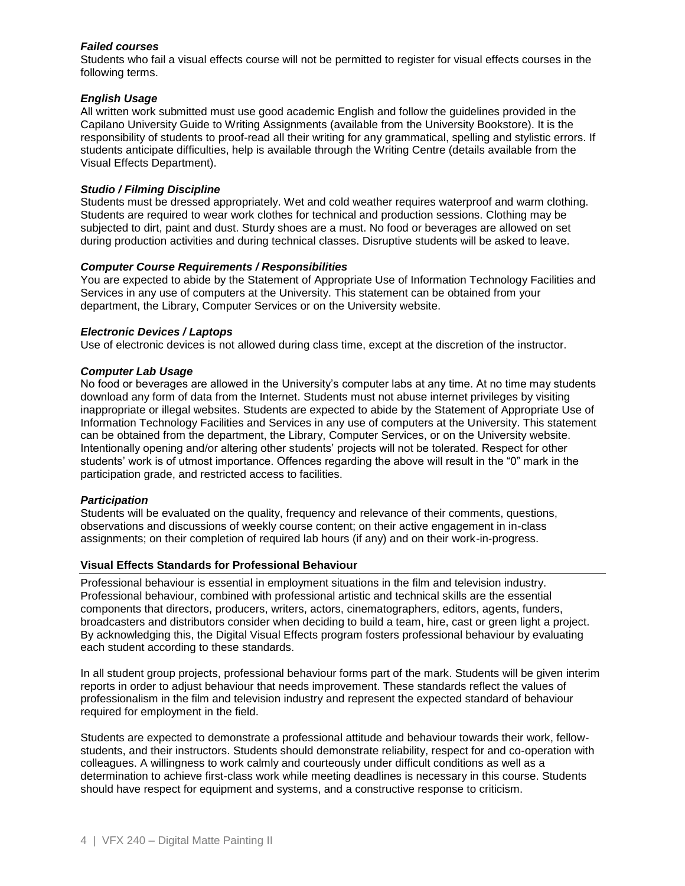# *Failed courses*

Students who fail a visual effects course will not be permitted to register for visual effects courses in the following terms.

# *English Usage*

All written work submitted must use good academic English and follow the guidelines provided in the Capilano University Guide to Writing Assignments (available from the University Bookstore). It is the responsibility of students to proof-read all their writing for any grammatical, spelling and stylistic errors. If students anticipate difficulties, help is available through the Writing Centre (details available from the Visual Effects Department).

# *Studio / Filming Discipline*

Students must be dressed appropriately. Wet and cold weather requires waterproof and warm clothing. Students are required to wear work clothes for technical and production sessions. Clothing may be subjected to dirt, paint and dust. Sturdy shoes are a must. No food or beverages are allowed on set during production activities and during technical classes. Disruptive students will be asked to leave.

# *Computer Course Requirements / Responsibilities*

You are expected to abide by the Statement of Appropriate Use of Information Technology Facilities and Services in any use of computers at the University. This statement can be obtained from your department, the Library, Computer Services or on the University website.

# *Electronic Devices / Laptops*

Use of electronic devices is not allowed during class time, except at the discretion of the instructor.

# *Computer Lab Usage*

No food or beverages are allowed in the University's computer labs at any time. At no time may students download any form of data from the Internet. Students must not abuse internet privileges by visiting inappropriate or illegal websites. Students are expected to abide by the Statement of Appropriate Use of Information Technology Facilities and Services in any use of computers at the University. This statement can be obtained from the department, the Library, Computer Services, or on the University website. Intentionally opening and/or altering other students' projects will not be tolerated. Respect for other students' work is of utmost importance. Offences regarding the above will result in the "0" mark in the participation grade, and restricted access to facilities.

# *Participation*

Students will be evaluated on the quality, frequency and relevance of their comments, questions, observations and discussions of weekly course content; on their active engagement in in-class assignments; on their completion of required lab hours (if any) and on their work-in-progress.

# **Visual Effects Standards for Professional Behaviour**

Professional behaviour is essential in employment situations in the film and television industry. Professional behaviour, combined with professional artistic and technical skills are the essential components that directors, producers, writers, actors, cinematographers, editors, agents, funders, broadcasters and distributors consider when deciding to build a team, hire, cast or green light a project. By acknowledging this, the Digital Visual Effects program fosters professional behaviour by evaluating each student according to these standards.

In all student group projects, professional behaviour forms part of the mark. Students will be given interim reports in order to adjust behaviour that needs improvement. These standards reflect the values of professionalism in the film and television industry and represent the expected standard of behaviour required for employment in the field.

Students are expected to demonstrate a professional attitude and behaviour towards their work, fellowstudents, and their instructors. Students should demonstrate reliability, respect for and co-operation with colleagues. A willingness to work calmly and courteously under difficult conditions as well as a determination to achieve first-class work while meeting deadlines is necessary in this course. Students should have respect for equipment and systems, and a constructive response to criticism.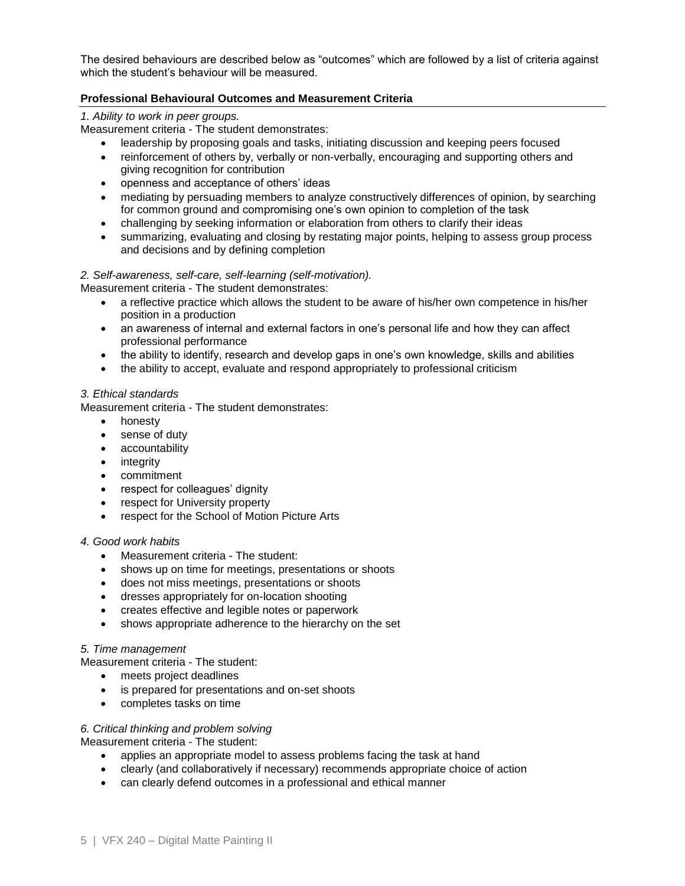The desired behaviours are described below as "outcomes" which are followed by a list of criteria against which the student's behaviour will be measured.

# **Professional Behavioural Outcomes and Measurement Criteria**

# *1. Ability to work in peer groups.*

Measurement criteria - The student demonstrates:

- leadership by proposing goals and tasks, initiating discussion and keeping peers focused
- reinforcement of others by, verbally or non-verbally, encouraging and supporting others and giving recognition for contribution
- openness and acceptance of others' ideas
- mediating by persuading members to analyze constructively differences of opinion, by searching for common ground and compromising one's own opinion to completion of the task
- challenging by seeking information or elaboration from others to clarify their ideas
- summarizing, evaluating and closing by restating major points, helping to assess group process and decisions and by defining completion

# *2. Self-awareness, self-care, self-learning (self-motivation).*

Measurement criteria - The student demonstrates:

- a reflective practice which allows the student to be aware of his/her own competence in his/her position in a production
- an awareness of internal and external factors in one's personal life and how they can affect professional performance
- the ability to identify, research and develop gaps in one's own knowledge, skills and abilities
- the ability to accept, evaluate and respond appropriately to professional criticism

# *3. Ethical standards*

Measurement criteria - The student demonstrates:

- honesty
- sense of duty
- accountability
- integrity
- commitment
- respect for colleagues' dignity
- respect for University property
- respect for the School of Motion Picture Arts

# *4. Good work habits*

- Measurement criteria The student:
- shows up on time for meetings, presentations or shoots
- does not miss meetings, presentations or shoots
- dresses appropriately for on-location shooting
- creates effective and legible notes or paperwork
- shows appropriate adherence to the hierarchy on the set

# *5. Time management*

Measurement criteria - The student:

- meets project deadlines
- is prepared for presentations and on-set shoots
- completes tasks on time

# *6. Critical thinking and problem solving*

Measurement criteria - The student:

- applies an appropriate model to assess problems facing the task at hand
- clearly (and collaboratively if necessary) recommends appropriate choice of action
- can clearly defend outcomes in a professional and ethical manner